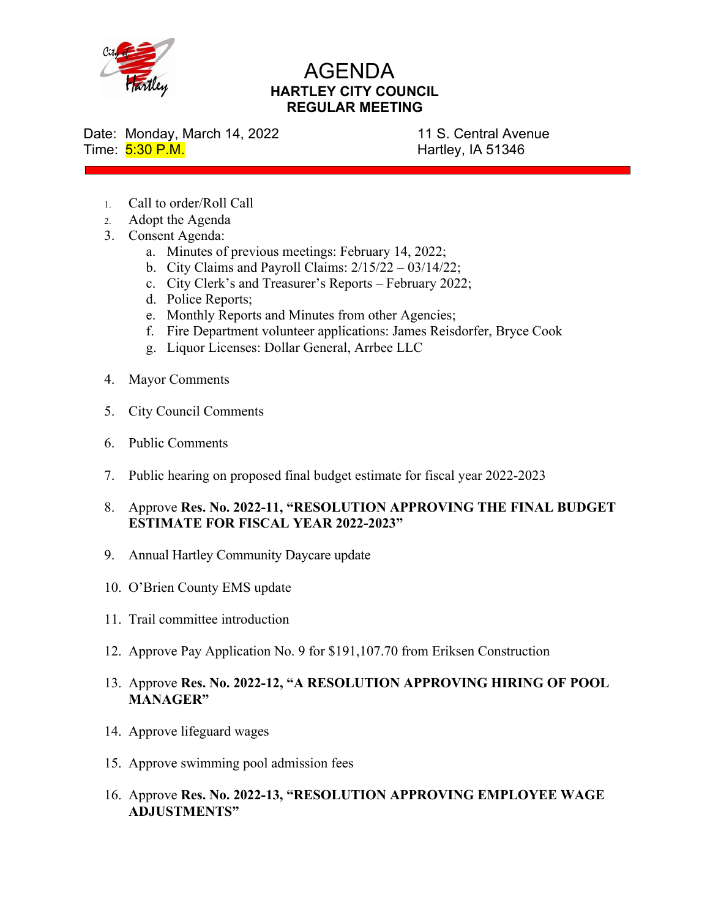

## AGENDA **HARTLEY CITY COUNCIL REGULAR MEETING**

Date: Monday, March 14, 2022 11 S. Central Avenue

Time: 5:30 P.M. **Hartley, IA 51346** 

- 1. Call to order/Roll Call
- 2. Adopt the Agenda
- 3. Consent Agenda:
	- a. Minutes of previous meetings: February 14, 2022;
	- b. City Claims and Payroll Claims:  $2/15/22 03/14/22$ ;
	- c. City Clerk's and Treasurer's Reports February 2022;
	- d. Police Reports;
	- e. Monthly Reports and Minutes from other Agencies;
	- f. Fire Department volunteer applications: James Reisdorfer, Bryce Cook
	- g. Liquor Licenses: Dollar General, Arrbee LLC
- 4. Mayor Comments
- 5. City Council Comments
- 6. Public Comments
- 7. Public hearing on proposed final budget estimate for fiscal year 2022-2023
- 8. Approve **Res. No. 2022-11, "RESOLUTION APPROVING THE FINAL BUDGET ESTIMATE FOR FISCAL YEAR 2022-2023"**
- 9. Annual Hartley Community Daycare update
- 10. O'Brien County EMS update
- 11. Trail committee introduction
- 12. Approve Pay Application No. 9 for \$191,107.70 from Eriksen Construction
- 13. Approve **Res. No. 2022-12, "A RESOLUTION APPROVING HIRING OF POOL MANAGER"**
- 14. Approve lifeguard wages
- 15. Approve swimming pool admission fees
- 16. Approve **Res. No. 2022-13, "RESOLUTION APPROVING EMPLOYEE WAGE ADJUSTMENTS"**